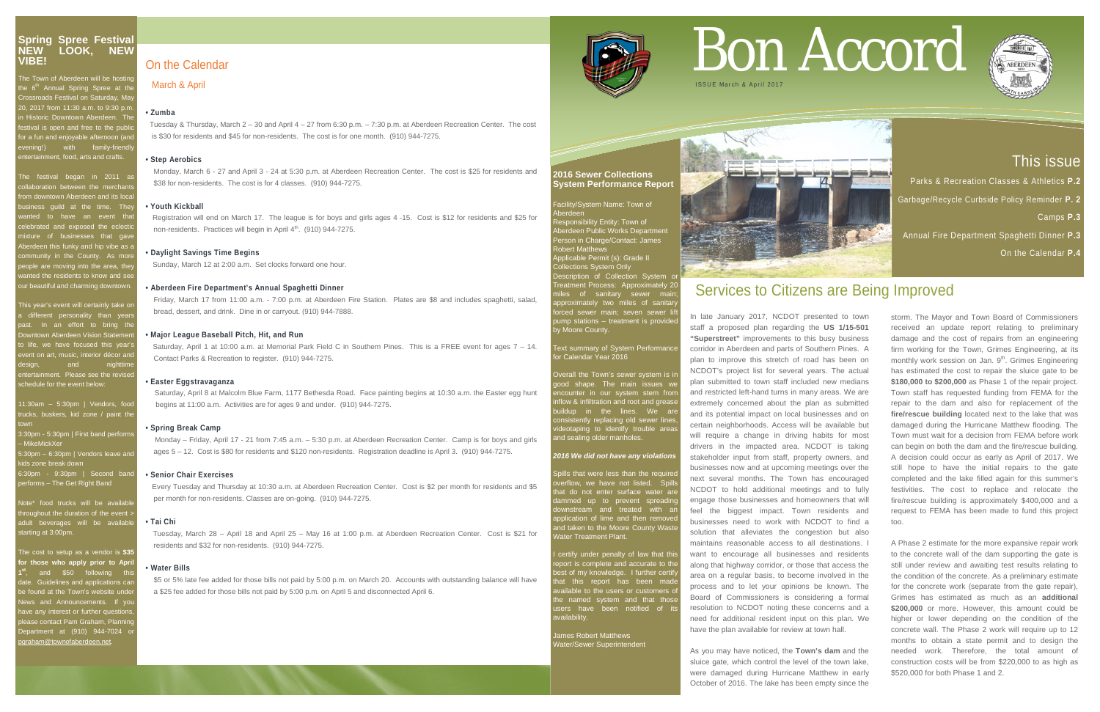## This issue

Parks & Recreation Classes & Athletics **P.2**  Garbage/Recycle Curbside Policy Reminder **P. 2** Camps **P.3** Annual Fire Department Spaghetti Dinner **P.3**

On the Calendar **P.4**

#### **2016 Sewer Collections System Performance Report**

Facility/System Name: Town of

Aberdeen Responsibility Entity: Town of Aberdeen Public Works Department erson in Charge/Contact: James Robert Matthews

oplicable Permit (s): Grade II llections System Only escription of Collection System or Treatment Process: Approximately 20 miles of sanitary sewer main; approximately two miles of sanitary forced sewer main; seven sewer lift pump stations – treatment is provided by Moore County.

#### Text summary of System Performance or Calendar Year 2016

Overall the Town's sewer system is in good shape. The main issues we encounter in our system stem from inflow & infiltration and root and grease buildup in the lines. We are consistently replacing old sewer lines, ideotaping to identify trouble area and sealing older manholes.

ills that were less than the require erflow, we have not listed. Spill hat do not enter surface water ar lammed up to prevent spreadin ownstream and treated with an pplication of lime and then remove nd taken to the Moore County Wast Water Treatment Plant.

I certify under penalty of law that this report is complete and accurate to the best of my knowledge. I further certify best of my knowledge. Thattlich certain<br>that this report has been mad vailable to the users or customers of the named system and that those isers have been notified of its vailability.

#### *2016 We did not have any violations*

 Registration will end on March 17. The league is for boys and girls ages 4 -15. Cost is \$12 for residents and \$25 for non-residents. Practices will begin in April  $4<sup>th</sup>$ . (910) 944-7275.

> James Robert Matthews Water/Sewer Superintendent



## On the Calendar

#### March & April

#### **• Zumba**

Tuesday & Thursday, March 2 – 30 and April 4 – 27 from 6:30 p.m. – 7:30 p.m. at Aberdeen Recreation Center. The cost is \$30 for residents and \$45 for non-residents. The cost is for one month. (910) 944-7275.

#### **• Step Aerobics**

Monday, March 6 - 27 and April 3 - 24 at 5:30 p.m. at Aberdeen Recreation Center. The cost is \$25 for residents and \$38 for non-residents. The cost is for 4 classes. (910) 944-7275.

#### **• Youth Kickball**

#### **• Daylight Savings Time Begins**

Sunday, March 12 at 2:00 a.m. Set clocks forward one hour.

#### **• Aberdeen Fire Department's Annual Spaghetti Dinner**

Friday, March 17 from 11:00 a.m. - 7:00 p.m. at Aberdeen Fire Station. Plates are \$8 and includes spaghetti, salad, bread, dessert, and drink. Dine in or carryout. (910) 944-7888.

#### **• Major League Baseball Pitch, Hit, and Run**

 Saturday, April 1 at 10:00 a.m. at Memorial Park Field C in Southern Pines. This is a FREE event for ages 7 – 14. Contact Parks & Recreation to register. (910) 944-7275.

#### **• Easter Eggstravaganza**

 Saturday, April 8 at Malcolm Blue Farm, 1177 Bethesda Road. Face painting begins at 10:30 a.m. the Easter egg hunt begins at 11:00 a.m. Activities are for ages 9 and under. (910) 944-7275.

#### **• Spring Break Camp**

 Monday – Friday, April 17 - 21 from 7:45 a.m. – 5:30 p.m. at Aberdeen Recreation Center. Camp is for boys and girls ages 5 – 12. Cost is \$80 for residents and \$120 non-residents. Registration deadline is April 3. (910) 944-7275.

#### **• Senior Chair Exercises**

Every Tuesday and Thursday at 10:30 a.m. at Aberdeen Recreation Center. Cost is \$2 per month for residents and \$5 per month for non-residents. Classes are on-going. (910) 944-7275.

#### **• Tai Chi**

 Tuesday, March 28 – April 18 and April 25 – May 16 at 1:00 p.m. at Aberdeen Recreation Center. Cost is \$21 for residents and \$32 for non-residents. (910) 944-7275.

#### **• Water Bills**

The Town of Aberdeen will be hosting he 6<sup>th</sup> Annual Spring Spree at the **Crossroads Festival on Saturday, May** 20, 2017 from 11:30 a.m. to 9:30 p.m. **in Historic Downtown Aberdeen. The** estival is open and free to the publifor a fun and enjoyable afternoon (and evening!) with family-friendly ntertainment, food, arts and crafts.

The festival began in 2011 as ollaboration between the merchant om downtown Aberdeen and its local usiness guild at the time. They vanted to have an event that elebrated and exposed the eclection  $\frac{1}{2}$  of businesses that gave berdeen this funky and hip vibe as a ommunity in the County. As more eople are moving into the area, the anted the residents to know and see our beautiful and charming downtown.

> \$5 or 5% late fee added for those bills not paid by 5:00 p.m. on March 20. Accounts with outstanding balance will have a \$25 fee added for those bills not paid by 5:00 p.m. on April 5 and disconnected April 6.

# Bon Accord



## Services to Citizens are Being Improved

11:30am - 5:30pm | Vendors, food rucks, buskers, kid zone / paint the town

3:30pm - 5:30pm | First band performs – MikeMickXer

6:30pm - 9:30pm | Second band erforms – The Get Right Band

lote\* food trucks will be availab roughout the duration of the event  $\overline{\phantom{a}}$ dult beverages will be availabl tarting at 3:00pm.

The cost to setup as a vendor is **\$35 for those who apply prior to April 1550 following this** date.<br>ate. Guidelines and applications can e found at the Town's website unde lews and Announcements. If you have any interest or further questions, please contact Pam Graham, Planning 0epartment at (910) 944-7024 <mark>c</mark> graham@townofaberdeen.net.

In late January 2017, NCDOT presented to town staff a proposed plan regarding the **US 1/15-501 "Superstreet"** improvements to this busy business corridor in Aberdeen and parts of Southern Pines. A plan to improve this stretch of road has been on NCDOT's project list for several years. The actual plan submitted to town staff included new medians and restricted left-hand turns in many areas. We are extremely concerned about the plan as submitted and its potential impact on local businesses and on certain neighborhoods. Access will be available but will require a change in driving habits for most drivers in the impacted area. NCDOT is taking stakeholder input from staff, property owners, and businesses now and at upcoming meetings over the next several months. The Town has encouraged NCDOT to hold additional meetings and to fully engage those businesses and homeowners that will feel the biggest impact. Town residents and businesses need to work with NCDOT to find a solution that alleviates the congestion but also maintains reasonable access to all destinations. I want to encourage all businesses and residents along that highway corridor, or those that access the area on a regular basis, to become involved in the process and to let your opinions be known. The Board of Commissioners is considering a formal resolution to NCDOT noting these concerns and a need for additional resident input on this plan. We have the plan available for review at town hall.

As you may have noticed, the **Town's dam** and the sluice gate, which control the level of the town lake, were damaged during Hurricane Matthew in early October of 2016. The lake has been empty since the

storm. The Mayor and Town Board of Commissioners received an update report relating to preliminary damage and the cost of repairs from an engineering firm working for the Town, Grimes Engineering, at its monthly work session on Jan. 9<sup>th</sup>. Grimes Engineering has estimated the cost to repair the sluice gate to be **\$180,000 to \$200,000** as Phase 1 of the repair project. Town staff has requested funding from FEMA for the repair to the dam and also for replacement of the **fire/rescue building** located next to the lake that was damaged during the Hurricane Matthew flooding. The Town must wait for a decision from FEMA before work can begin on both the dam and the fire/rescue building. A decision could occur as early as April of 2017. We still hope to have the initial repairs to the gate completed and the lake filled again for this summer's festivities. The cost to replace and relocate the fire/rescue building is approximately \$400,000 and a request to FEMA has been made to fund this project too.

A Phase 2 estimate for the more expansive repair work to the concrete wall of the dam supporting the gate is still under review and awaiting test results relating to the condition of the concrete. As a preliminary estimate for the concrete work (separate from the gate repair), Grimes has estimated as much as an **additional \$200,000** or more. However, this amount could be higher or lower depending on the condition of the concrete wall. The Phase 2 work will require up to 12 months to obtain a state permit and to design the needed work. Therefore, the total amount of construction costs will be from \$220,000 to as high as \$520,000 for both Phase 1 and 2.



#### **Spring Spree Festival NEW LOOK, NEW VIBE!**

This year's event will certainly take on different personality than years ast. In an effort to bring the **Oowntown Aberdeen Vision Statement** o life, we have focused this year<sup>'</sup> vent on art, music, interior décor ar entertainment. Please see the revised schedule for the event below:

5:30pm – 6:30pm | Vendors leave and kids zone break down